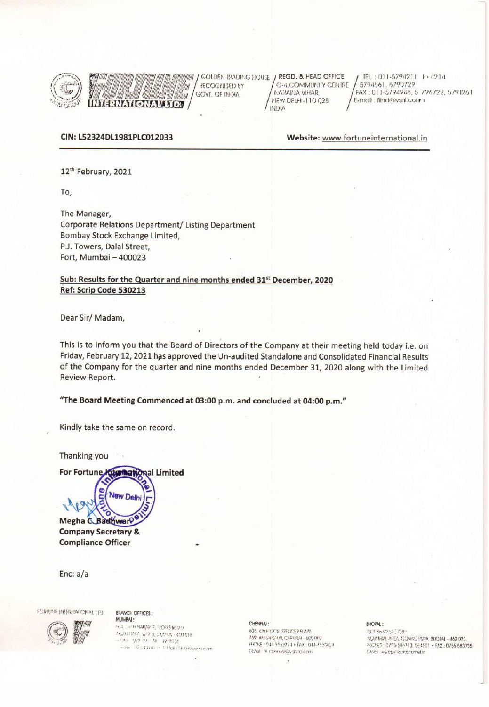

RECOGNISED BY GOVI. OF INDIA **ERNATIONAL LID.** 

GOLDEN IRADING HOUSE / REGD. & HEAD OFFICE G-4,COMMUNITY CENTRE NARABIA VIHAR. NEW DELHI-110 028 **AIGIAI** 

TEL: 011-5794211 To 4214 5794561, 5790729 FAX: 011-5794948, 5 796722, 5791261 E-mail: filmcléavant.comm

### CIN: L52324DL1981PLC012033

Website: www.fortuneinternational.in

12th February, 2021

To,

The Manager, Corporate Relations Department/ Listing Department Bombay Stock Exchange Limited, P.J. Towers, Dalal Street, Fort, Mumbai - 400023

## Sub: Results for the Quarter and nine months ended 31st December, 2020 Ref: Scrip Code 530213

Dear Sir/Madam,

This is to inform you that the Board of Directors of the Company at their meeting held today i.e. on Friday, February 12, 2021 has approved the Un-audited Standalone and Consolidated Financial Results of the Company for the quarter and nine months ended December 31, 2020 along with the Limited Review Report.

"The Board Meeting Commenced at 03:00 p.m. and concluded at 04:00 p.m."

Kindly take the same on record.

Thanking you

**Emmanonal Limited For Fortune** 

New Delhi

Megha C. BadhwarP **Company Secretary & Compliance Officer** 

ø

Enc:  $a/a$ 

**FORRISE INTERNATIONAL (ID)** 

**BRANCH OFFICES:** MUMRAI -

**POLITICAL NAME E MOSS ROAD** MARTINA, WERE BENN - 400 018. 一修 122-09 24 1918135  $\sim 4\pi-22.149144\pm 1.5500\pm 59.005$  and  $0.000$ 

#### CHENNAI:

605, 6th FLOCID SPECIER FLAZA. 759, ANI 54 SALAI, CHEMICAL - 600 002 PROFE-044-953271 · FAX: 044-2550629 CMall- Ni cherogise dono com

#### **BHOPAL:**

20186-9254-0021 MOUSTRIAL AREA, GOVINA) PUIPA, BHOPAL - 462 023. PECNES : 0755-586313, 584501 · FAX: 0755-583935 C.McL es environnement in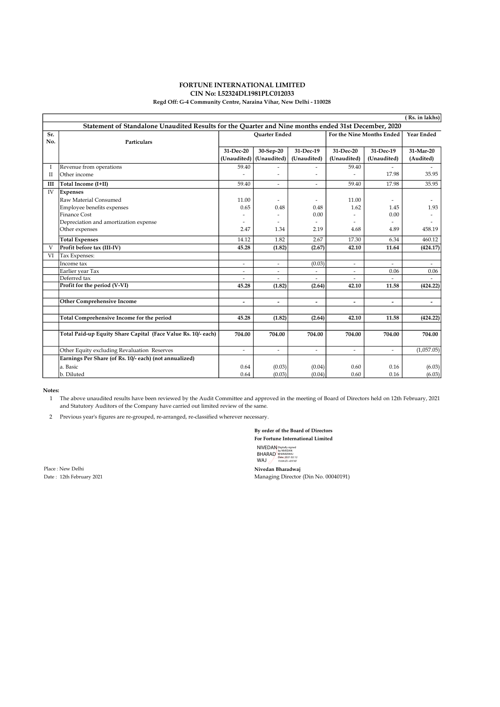#### FORTUNE INTERNATIONAL LIMITED CIN No: L52324DL1981PLC012033 Regd Off: G-4 Community Centre, Naraina Vihar, New Delhi - 110028

|                                                                                                     |                                                               |                          |                          |                          |                           |                          | (Rs. in lakhs)           |  |  |  |  |  |
|-----------------------------------------------------------------------------------------------------|---------------------------------------------------------------|--------------------------|--------------------------|--------------------------|---------------------------|--------------------------|--------------------------|--|--|--|--|--|
| Statement of Standalone Unaudited Results for the Quarter and Nine months ended 31st December, 2020 |                                                               |                          |                          |                          |                           |                          |                          |  |  |  |  |  |
| Sr.                                                                                                 |                                                               |                          | <b>Ouarter Ended</b>     |                          | For the Nine Months Ended |                          | Year Ended               |  |  |  |  |  |
| No.                                                                                                 | Particulars                                                   |                          |                          |                          |                           |                          |                          |  |  |  |  |  |
|                                                                                                     |                                                               | 31-Dec-20                | 30-Sep-20                | 31-Dec-19                | 31-Dec-20                 | 31-Dec-19                | 31-Mar-20                |  |  |  |  |  |
|                                                                                                     |                                                               | (Unaudited)              | (Unaudited)              | (Unaudited)              | (Unaudited)               | (Unaudited)              | (Audited)                |  |  |  |  |  |
| I                                                                                                   | Revenue from operations                                       | 59.40                    |                          |                          | 59.40                     |                          |                          |  |  |  |  |  |
| Н                                                                                                   | Other income                                                  |                          | ٠                        |                          |                           | 17.98                    | 35.95                    |  |  |  |  |  |
| III                                                                                                 | Total Income (I+II)                                           | 59.40                    | ÷.                       | ÷.                       | 59.40                     | 17.98                    | 35.95                    |  |  |  |  |  |
| IV                                                                                                  | <b>Expenses</b>                                               |                          |                          |                          |                           |                          |                          |  |  |  |  |  |
|                                                                                                     | Raw Material Consumed                                         | 11.00                    | ٠                        | $\overline{a}$           | 11.00                     |                          |                          |  |  |  |  |  |
|                                                                                                     | Employee benefits expenses                                    | 0.65                     | 0.48                     | 0.48                     | 1.62                      | 1.45                     | 1.93                     |  |  |  |  |  |
|                                                                                                     | Finance Cost                                                  |                          | ٠                        | 0.00                     |                           | 0.00                     |                          |  |  |  |  |  |
|                                                                                                     | Depreciation and amortization expense                         | ٠                        | ٠                        | ä,                       | ۰                         | $\overline{a}$           |                          |  |  |  |  |  |
|                                                                                                     | Other expenses                                                | 2.47                     | 1.34                     | 2.19                     | 4.68                      | 4.89                     | 458.19                   |  |  |  |  |  |
|                                                                                                     | <b>Total Expenses</b>                                         | 14.12                    | 1.82                     | 2.67                     | 17.30                     | 6.34                     | 460.12                   |  |  |  |  |  |
| V                                                                                                   | Profit before tax (III-IV)                                    | 45.28                    | (1.82)                   | (2.67)                   | 42.10                     | 11.64                    | (424.17)                 |  |  |  |  |  |
| VI                                                                                                  | Tax Expenses:                                                 |                          |                          |                          |                           |                          |                          |  |  |  |  |  |
|                                                                                                     | Income tax                                                    | $\overline{\phantom{a}}$ | $\overline{\phantom{a}}$ | (0.03)                   | $\overline{\phantom{a}}$  | $\overline{\phantom{a}}$ | $\overline{\phantom{a}}$ |  |  |  |  |  |
|                                                                                                     | Earlier year Tax                                              | ٠                        | $\overline{\phantom{a}}$ | $\overline{\phantom{a}}$ | $\overline{\phantom{a}}$  | 0.06                     | 0.06                     |  |  |  |  |  |
|                                                                                                     | Deferred tax                                                  |                          | $\overline{a}$           | ÷.                       | ÷                         |                          |                          |  |  |  |  |  |
|                                                                                                     | Profit for the period (V-VI)                                  | 45.28                    | (1.82)                   | (2.64)                   | 42.10                     | 11.58                    | (424.22)                 |  |  |  |  |  |
|                                                                                                     |                                                               |                          |                          |                          |                           |                          |                          |  |  |  |  |  |
|                                                                                                     | <b>Other Comprehensive Income</b>                             | $\overline{\phantom{a}}$ | $\overline{\phantom{a}}$ | $\overline{\phantom{a}}$ | -                         | $\overline{\phantom{a}}$ | $\overline{\phantom{a}}$ |  |  |  |  |  |
|                                                                                                     | Total Comprehensive Income for the period                     | 45.28                    | (1.82)                   | (2.64)                   | 42.10                     | 11.58                    | (424.22)                 |  |  |  |  |  |
|                                                                                                     |                                                               |                          |                          |                          |                           |                          |                          |  |  |  |  |  |
|                                                                                                     | Total Paid-up Equity Share Capital (Face Value Rs. 10/- each) | 704.00                   | 704.00                   | 704.00                   | 704.00                    | 704.00                   | 704.00                   |  |  |  |  |  |
|                                                                                                     | Other Equity excluding Revaluation Reserves                   | $\overline{a}$           | ÷                        | ä,                       | ÷                         | ÷.                       | (1,057.05)               |  |  |  |  |  |
|                                                                                                     | Earnings Per Share (of Rs. 10/- each) (not annualized)        |                          |                          |                          |                           |                          |                          |  |  |  |  |  |
|                                                                                                     | a. Basic                                                      | 0.64                     | (0.03)                   | (0.04)                   | 0.60                      | 0.16                     | (6.03)                   |  |  |  |  |  |
|                                                                                                     | b. Diluted                                                    | 0.64                     | (0.03)                   | (0.04)                   | 0.60                      | 0.16                     | (6.03)                   |  |  |  |  |  |

#### Notes:

1 The above unaudited results have been reviewed by the Audit Committee and approved in the meeting of Board of Directors held on 12th February, 2021 and Statutory Auditors of the Company have carried out limited review of the same.

2 Previous year's figures are re-grouped, re-arranged, re-classified wherever necessary.

By order of the Board of Directors For Fortune International Limited

NIVEDAN<br>BHARAD<br>WAJ Digitally signed by NIVEDAN BHARADWAJ Date: 2021.02.12 15:04:25 +05'30'

Place : New Delhi Nivedan Bharadwaj (1992)<br>
Date : 12th February 2021 (1993)<br>
Managing Director

Managing Director (Din No. 00040191)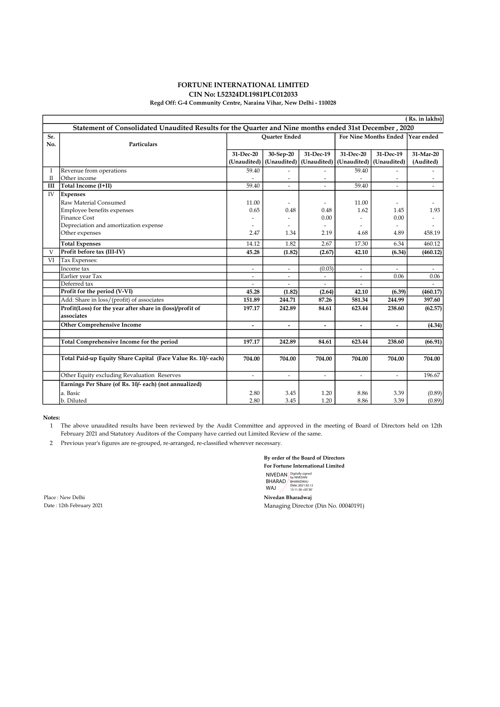## FORTUNE INTERNATIONAL LIMITED

## CIN No: L52324DL1981PLC012033

### Regd Off: G-4 Community Centre, Naraina Vihar, New Delhi - 110028

| (Rs. in lakhs)                                                                                        |                                                               |                          |                          |                              |                                  |                          |           |  |  |  |  |
|-------------------------------------------------------------------------------------------------------|---------------------------------------------------------------|--------------------------|--------------------------|------------------------------|----------------------------------|--------------------------|-----------|--|--|--|--|
| Statement of Consolidated Unaudited Results for the Quarter and Nine months ended 31st December, 2020 |                                                               |                          |                          |                              |                                  |                          |           |  |  |  |  |
| Sr.                                                                                                   |                                                               | <b>Ouarter Ended</b>     |                          |                              | For Nine Months Ended Year ended |                          |           |  |  |  |  |
| No.                                                                                                   | Particulars                                                   |                          |                          |                              |                                  |                          |           |  |  |  |  |
|                                                                                                       |                                                               | 31-Dec-20                | 30-Sep-20                | 31-Dec-19                    | 31-Dec-20                        | 31-Dec-19                | 31-Mar-20 |  |  |  |  |
|                                                                                                       |                                                               | (Unaudited)              | (Unaudited)              | (Unaudited)                  | (Unaudited)                      | (Unaudited)              | (Audited) |  |  |  |  |
| Ι                                                                                                     | Revenue from operations                                       | 59.40                    |                          | ٠                            | 59.40                            |                          |           |  |  |  |  |
| П                                                                                                     | Other income                                                  |                          |                          | $\overline{a}$               |                                  |                          |           |  |  |  |  |
| Ш                                                                                                     | Total Income (I+II)                                           | 59.40                    |                          | ÷.                           | 59.40                            |                          |           |  |  |  |  |
| IV                                                                                                    | <b>Expenses</b>                                               |                          |                          |                              |                                  |                          |           |  |  |  |  |
|                                                                                                       | Raw Material Consumed                                         | 11.00                    |                          | ۰                            | 11.00                            | $\overline{\phantom{m}}$ |           |  |  |  |  |
|                                                                                                       | Employee benefits expenses                                    | 0.65                     | 0.48                     | 0.48                         | 1.62                             | 1.45                     | 1.93      |  |  |  |  |
|                                                                                                       | <b>Finance Cost</b>                                           |                          |                          | 0.00                         |                                  | 0.00                     |           |  |  |  |  |
|                                                                                                       | Depreciation and amortization expense                         |                          |                          | $\qquad \qquad \blacksquare$ |                                  |                          |           |  |  |  |  |
|                                                                                                       | Other expenses                                                | 2.47                     | 1.34                     | 2.19                         | 4.68                             | 4.89                     | 458.19    |  |  |  |  |
|                                                                                                       | <b>Total Expenses</b>                                         | 14.12                    | 1.82                     | 2.67                         | 17.30                            | 6.34                     | 460.12    |  |  |  |  |
| V                                                                                                     | Profit before tax (III-IV)                                    | 45.28                    | (1.82)                   | (2.67)                       | 42.10                            | (6.34)                   | (460.12)  |  |  |  |  |
| VI                                                                                                    | Tax Expenses:                                                 |                          |                          |                              |                                  |                          |           |  |  |  |  |
|                                                                                                       | Income tax                                                    | $\overline{\phantom{a}}$ | $\blacksquare$           | (0.03)                       | $\blacksquare$                   | $\overline{\phantom{a}}$ | $\sim$    |  |  |  |  |
|                                                                                                       | Earlier year Tax                                              | $\overline{\phantom{a}}$ | $\overline{\phantom{a}}$ | $\overline{\phantom{a}}$     | $\overline{\phantom{a}}$         | 0.06                     | 0.06      |  |  |  |  |
|                                                                                                       | Deferred tax                                                  | $\overline{\phantom{a}}$ |                          | $\overline{\phantom{a}}$     | $\blacksquare$                   |                          |           |  |  |  |  |
|                                                                                                       | Profit for the period (V-VI)                                  | 45.28                    | (1.82)                   | (2.64)                       | 42.10                            | (6.39)                   | (460.17)  |  |  |  |  |
|                                                                                                       | Add: Share in loss/(profit) of associates                     | 151.89                   | 244.71                   | 87.26                        | 581.34                           | 244.99                   | 397.60    |  |  |  |  |
|                                                                                                       | Profit(Loss) for the year after share in (loss)/profit of     | 197.17                   | 242.89                   | 84.61                        | 623.44                           | 238.60                   | (62.57)   |  |  |  |  |
|                                                                                                       | associates                                                    |                          |                          |                              |                                  |                          |           |  |  |  |  |
|                                                                                                       | <b>Other Comprehensive Income</b>                             | ÷,                       |                          | $\overline{a}$               | $\overline{a}$                   |                          | (4.34)    |  |  |  |  |
|                                                                                                       |                                                               |                          |                          |                              |                                  |                          |           |  |  |  |  |
|                                                                                                       | Total Comprehensive Income for the period                     | 197.17                   | 242.89                   | 84.61                        | 623.44                           | 238.60                   | (66.91)   |  |  |  |  |
|                                                                                                       |                                                               |                          |                          |                              |                                  |                          |           |  |  |  |  |
|                                                                                                       | Total Paid-up Equity Share Capital (Face Value Rs. 10/- each) | 704.00                   | 704.00                   | 704.00                       | 704.00                           | 704.00                   | 704.00    |  |  |  |  |
|                                                                                                       | Other Equity excluding Revaluation Reserves                   | $\overline{\phantom{a}}$ | ä,                       | ä,                           | ä,                               | ÷.                       | 196.67    |  |  |  |  |
|                                                                                                       | Earnings Per Share (of Rs. 10/- each) (not annualized)        |                          |                          |                              |                                  |                          |           |  |  |  |  |
|                                                                                                       | a. Basic                                                      | 2.80                     | 3.45                     | 1.20                         | 8.86                             | 3.39                     | (0.89)    |  |  |  |  |
|                                                                                                       | b. Diluted                                                    | 2.80                     | 3.45                     | 1.20                         | 8.86                             | 3.39                     | (0.89)    |  |  |  |  |

### Notes:

1 The above unaudited results have been reviewed by the Audit Committee and approved in the meeting of Board of Directors held on 12th February 2021 and Statutory Auditors of the Company have carried out Limited Review of the same.

2 Previous year's figures are re-grouped, re-arranged, re-classified wherever necessary.

By order of the Board of Directors For Fortune International Limited NIVEDAN<br>BHARAD<br>WAJ Digitally signed by NIVEDAN BHARADWAJ Date: 2021.02.12 15:11:38 +05'30'

Place : New Delhi Nivedan Bharadwaj

Date : 12th February 2021 Managing Director (Din No. 00040191)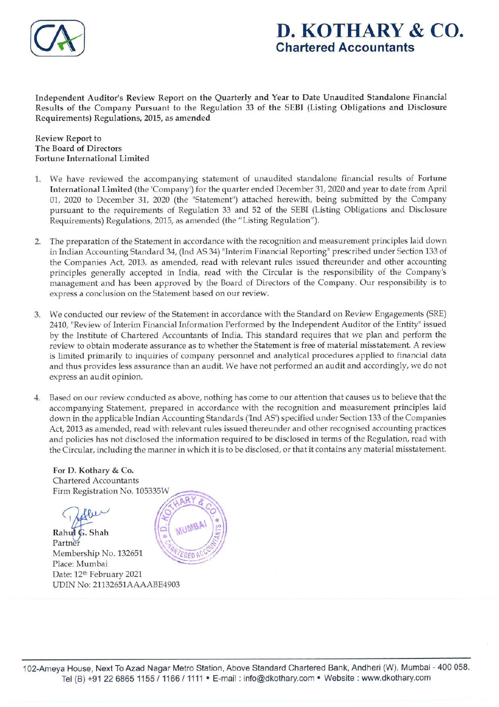

# D. KOTHARY & CO. Chartered Accountants

Independent Auditor's Review Report on the Quarterly and Year to Date Unaudited Standalone Financial Results of the Company Pursuant to the Regulation 33 of the SEBI (Listing Obligations and Disclosure Requirements) Regulations, 2015, as amended

Review Report to The Board of Directors Fortune International Limited

- 1. We have reviewed the accompanying statement of unaudited standalone financial results of Fortune International Limited (the 'Company') for the quarter ended December 31, 2020 and year to date from April 01, 2020 to December 31, 2020 (the "Statement") attached herewith, being submitted by the Company pursuant to the requirements of Regulation 33 and 52 of the SEBI (Listing Obligations and Disclosure Requirements) Regulations, 2015, as amended (the "Listing Regulation").
- 2. The preparation of the Statement in accordance with the recognition and measurement principles laid down in Indian Accounting Standard 34,(Ind AS 34) "Interim Financial Reporting" prescribed under Section 133 of the Companies Act, 2013, as amended, read with relevant rules issued thereunder and other accounting principles generally accepted in India, read with the Circular is the responsibility of the Company's management and has been approved by the Board of Directors of the Company. Our responsibility is to express a conclusion on the Statement based on our review.
- 3. We conducted our review of the Statement in accordance with the Standard on Review Engagements (SRE) 2410, "Reviewof Interim Financial Information Performed by the Independent Auditor of the Entity" issued by the Institute of Chartered Accountants of India. This standard requires that we plan and perform the review to obtain moderate assurance as to whether the Statement is free of material misstatement. A review is limited primarily to inquiries of company personnel and analytical procedures applied to financial data and thus provides less assurance than an audit. We have not performed an audit and accordingly, we do not express an audit opinion.
- Based on our review conducted as above, nothing has come to our attention that causes us to believe that the accompanying Statement, prepared in accordance with the recognition and measurement principles laid down in the applicable Indian Accounting Standards ('Ind AS') specified under Section 133 of the Companies Act, 2013 as amended, read with relevant rules issued thereunder and other recognised accounting practices and policies has not disclosed the information required to be disclosed in terms of the Regulation, read with the Circular, including the manner in which it is to be disclosed, or that it contains any material misstatement.

For D. Kothary & Co. Chartered Accountants Firm Registration No. 105335W

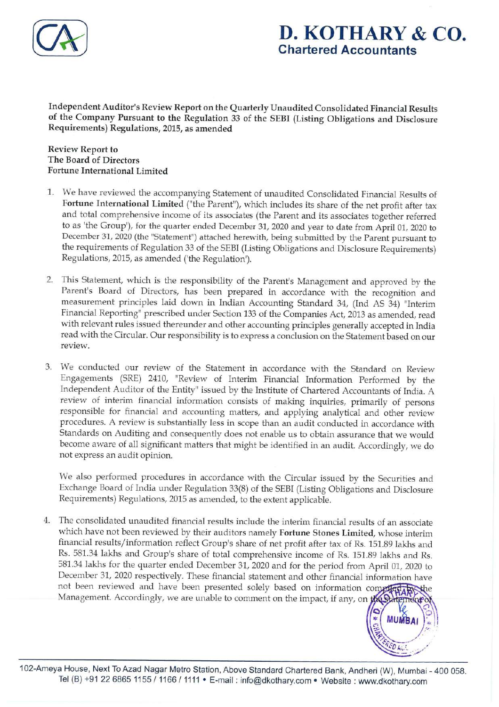

# D. KOTHARY & CO. Chartered Accountants

**MUMBAI** 

Independent Auditor's Review Report on the Quarterly Unaudited Consolidated Financial Results of the Company Pursuant to the Regulation 33 of the SEBI (Listing Obligations and Disclosure Requirements) Regulations, 2015, as amended

Review Report to The Board of Directors Fortune International Limited

- 1. We have reviewed the accompanying Statement of unaudited Consolidated Financial Results of Fortune International Limited ("the Parent"), which includes its share of the net profit after tax and total comprehensive income of its associates (the Parent and its associates together referred to as 'the Group'), for the quarter ended December31, 2020 and year to date from April 01, 2020 to December 31, 2020 (the "Statement") attached herewith, being submitted by the Parent pursuant to the requirements of Regulation 33 of the SEBI (Listing Obligations and Disclosure Requirements) Regulations, 2015, as amended('the Regulation').
- 2. This Statement, which is the responsibility of the Parent's Management and approved by the Parent's Board of Directors, has been prepared in accordance with the recognition and measurement principles laid down in Indian Accounting Standard 34, (Ind AS 34) "Interim Financial Reporting" prescribed under Section 133 of the Companies Act, 2013 as amended, read with relevant rules issued thereunder and other accounting principles generally accepted in India read with the Circular. Our responsibility is to express a conclusion on the Statement based on our review.
- 3. We conducted our review of the Statement in accordance with the Standard on Review Engagements (SRE) 2410, "Review of Interim Financial Information Performed by the Independent Auditor of the Entity" issued by the Institute of Chartered Accountants of India. A review of interim financial information consists of making inquiries, primarily of persons responsible for financial and accounting matters, and applying analytical and other review procedures. A review is substantially less in scope than an audit conducted in accordance with Standards on Auditing and consequently does not enable us to obtain assurance that we would become aware of all significant matters that might be identified in an audit. Accordingly, we do not express an audit opinion.

Wealso performed procedures in accordance with the Circular issued by the Securities and Exchange Board of India under Regulation 33(8) of the SEBI (Listing Obligations and Disclosure Requirements) Regulations, 2015 as amended, to the extent applicable.

The consolidated unaudited financial results include the interim financial results of an associate which have not been reviewed by their auditors namely Fortune Stones Limited, whose interim financial results/information reflect Group's share of net profit after tax of Rs. 151.89 lakhs and Rs. 581.34 lakhs and Group's share of total comprehensive income of Rs. 151.89 lakhs and Rs. 581.34 lakhs for the quarter ended December 31, 2020 and for the period from April 01, 2020 to December 31, 2020 respectively. These financial statement and other financial information have not been reviewed and have been presented solely based on information co financial results/information reflect Group's share of net profit after tax of Rs. 151.89 Rs. 581.34 lakhs and Group's share of total comprehensive income of Rs. 151.89 lakhs 581.34 lakhs for the quarter ended December 31